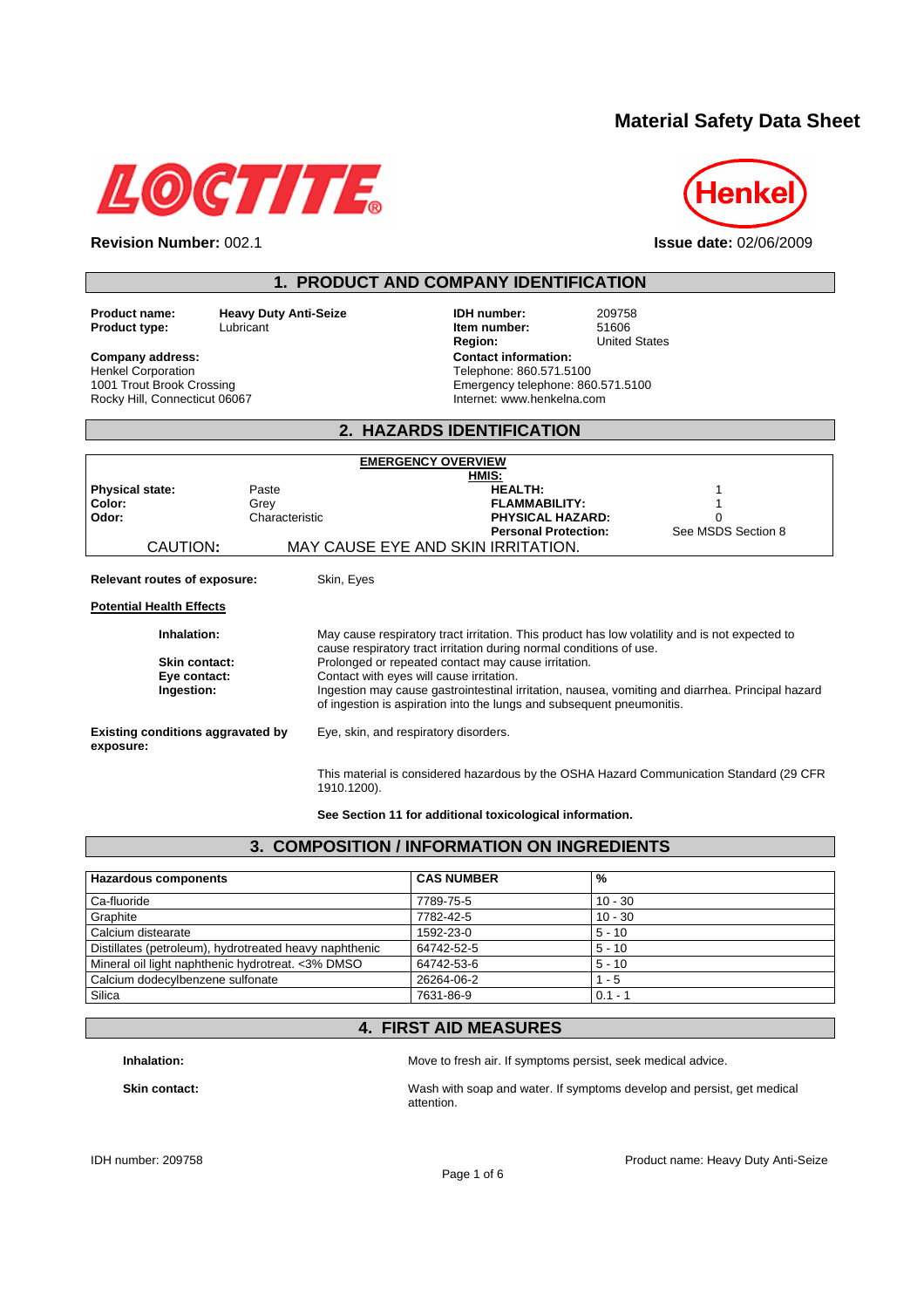# **Material Safety Data Sheet**





| <b>IDH</b> number:<br>209758<br>Item number:<br>51606<br><b>United States</b><br>Region:<br><b>Contact information:</b><br>Telephone: 860.571.5100<br>Emergency telephone: 860.571.5100<br>Internet: www.henkelna.com                                                                                                                                                                                                                                                                                                                                                                     |
|-------------------------------------------------------------------------------------------------------------------------------------------------------------------------------------------------------------------------------------------------------------------------------------------------------------------------------------------------------------------------------------------------------------------------------------------------------------------------------------------------------------------------------------------------------------------------------------------|
|                                                                                                                                                                                                                                                                                                                                                                                                                                                                                                                                                                                           |
| 2. HAZARDS IDENTIFICATION                                                                                                                                                                                                                                                                                                                                                                                                                                                                                                                                                                 |
| <b>EMERGENCY OVERVIEW</b><br>HMIS:<br><b>HEALTH:</b><br><b>FLAMMABILITY:</b><br><b>PHYSICAL HAZARD:</b><br>$\Omega$<br>See MSDS Section 8<br><b>Personal Protection:</b><br>MAY CAUSE EYE AND SKIN IRRITATION.                                                                                                                                                                                                                                                                                                                                                                            |
| May cause respiratory tract irritation. This product has low volatility and is not expected to<br>cause respiratory tract irritation during normal conditions of use.<br>Prolonged or repeated contact may cause irritation.<br>Contact with eyes will cause irritation.<br>Ingestion may cause gastrointestinal irritation, nausea, vomiting and diarrhea. Principal hazard<br>of ingestion is aspiration into the lungs and subsequent pneumonitis.<br>Eye, skin, and respiratory disorders.<br>This material is considered hazardous by the OSHA Hazard Communication Standard (29 CFR |
|                                                                                                                                                                                                                                                                                                                                                                                                                                                                                                                                                                                           |

**See Section 11 for additional toxicological information.** 

| 3. COMPOSITION / INFORMATION ON INGREDIENTS            |                   |           |
|--------------------------------------------------------|-------------------|-----------|
| <b>Hazardous components</b>                            | <b>CAS NUMBER</b> | %         |
| Ca-fluoride                                            | 7789-75-5         | $10 - 30$ |
| Graphite                                               | 7782-42-5         | $10 - 30$ |
| Calcium distearate                                     | 1592-23-0         | $5 - 10$  |
| Distillates (petroleum), hydrotreated heavy naphthenic | 64742-52-5        | $5 - 10$  |
| Mineral oil light naphthenic hydrotreat. <3% DMSO      | 64742-53-6        | $5 - 10$  |
| Calcium dodecylbenzene sulfonate                       | 26264-06-2        | $1 - 5$   |
| Silica                                                 | 7631-86-9         | $0.1 - 1$ |

### **4. FIRST AID MEASURES**

**Inhalation: Inhalation: Move to fresh air. If symptoms persist, seek medical advice.** 

**Skin contact:** Wash with soap and water. If symptoms develop and persist, get medical attention.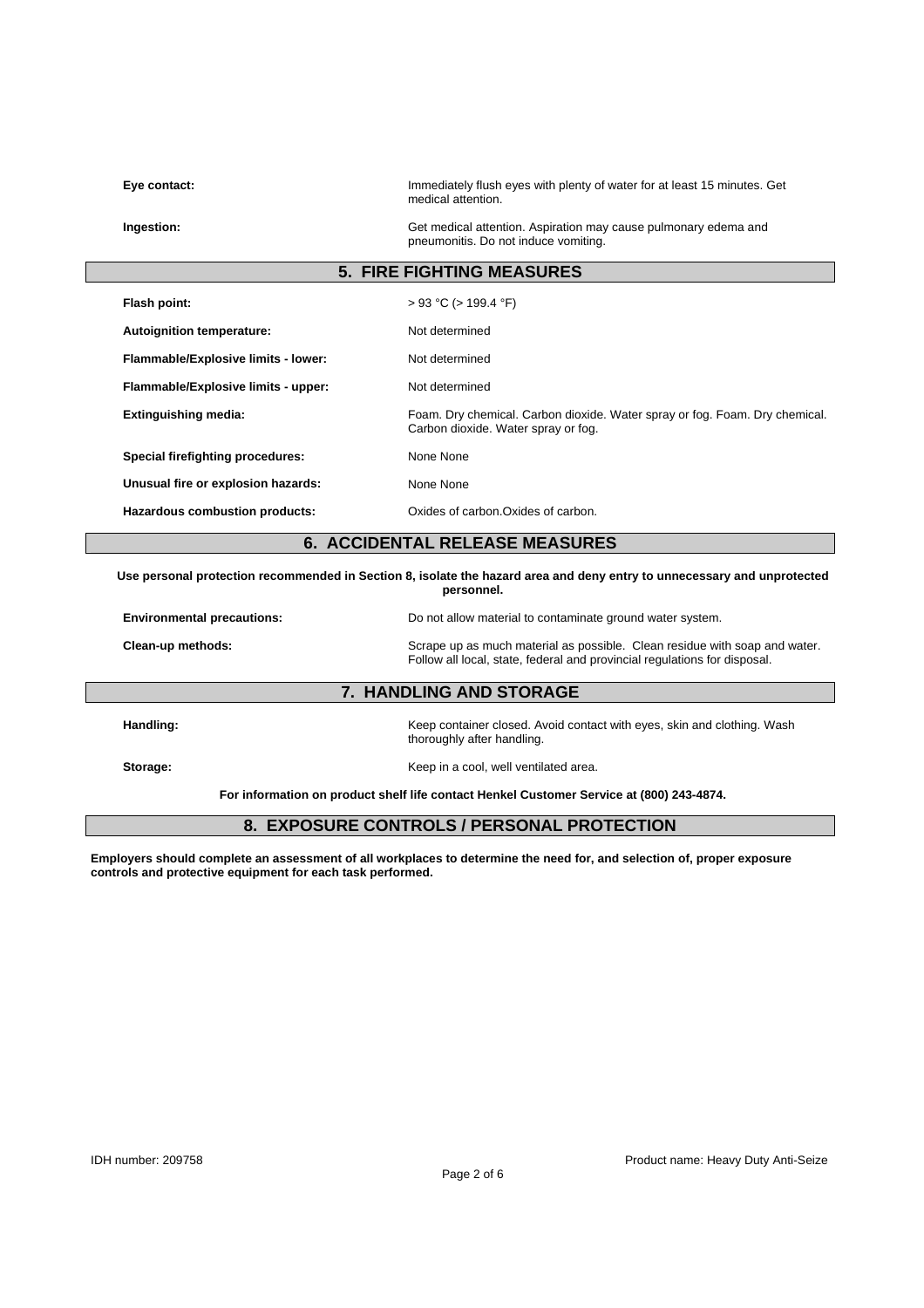| Eye contact:                        | Immediately flush eyes with plenty of water for at least 15 minutes. Get<br>medical attention.                                                          |
|-------------------------------------|---------------------------------------------------------------------------------------------------------------------------------------------------------|
| Ingestion:                          | Get medical attention. Aspiration may cause pulmonary edema and<br>pneumonitis. Do not induce vomiting.                                                 |
|                                     | <b>5. FIRE FIGHTING MEASURES</b>                                                                                                                        |
| Flash point:                        | $> 93$ °C ( $> 199.4$ °F)                                                                                                                               |
| Autoignition temperature:           | Not determined                                                                                                                                          |
| Flammable/Explosive limits - lower: | Not determined                                                                                                                                          |
| Flammable/Explosive limits - upper: | Not determined                                                                                                                                          |
| <b>Extinguishing media:</b>         | Foam. Dry chemical. Carbon dioxide. Water spray or fog. Foam. Dry chemical.<br>Carbon dioxide. Water spray or fog.                                      |
| Special firefighting procedures:    | None None                                                                                                                                               |
| Unusual fire or explosion hazards:  | None None                                                                                                                                               |
| Hazardous combustion products:      | Oxides of carbon. Oxides of carbon.                                                                                                                     |
|                                     | <b>6. ACCIDENTAL RELEASE MEASURES</b>                                                                                                                   |
|                                     | Use personal protection recommended in Section 8, isolate the hazard area and deny entry to unnecessary and unprotected<br>personnel.                   |
| <b>Environmental precautions:</b>   | Do not allow material to contaminate ground water system.                                                                                               |
| Clean-up methods:                   | Scrape up as much material as possible. Clean residue with soap and water.<br>Follow all local, state, federal and provincial regulations for disposal. |
|                                     | 7. HANDLING AND STORAGE                                                                                                                                 |
| Handling:                           | Keep container closed. Avoid contact with eyes, skin and clothing. Wash<br>thoroughly after handling.                                                   |
| Storage:                            | Keep in a cool, well ventilated area.                                                                                                                   |
|                                     | For information on product shelf life contact Henkel Customer Service at (800) 243-4874.                                                                |

# **8. EXPOSURE CONTROLS / PERSONAL PROTECTION**

**Employers should complete an assessment of all workplaces to determine the need for, and selection of, proper exposure controls and protective equipment for each task performed.**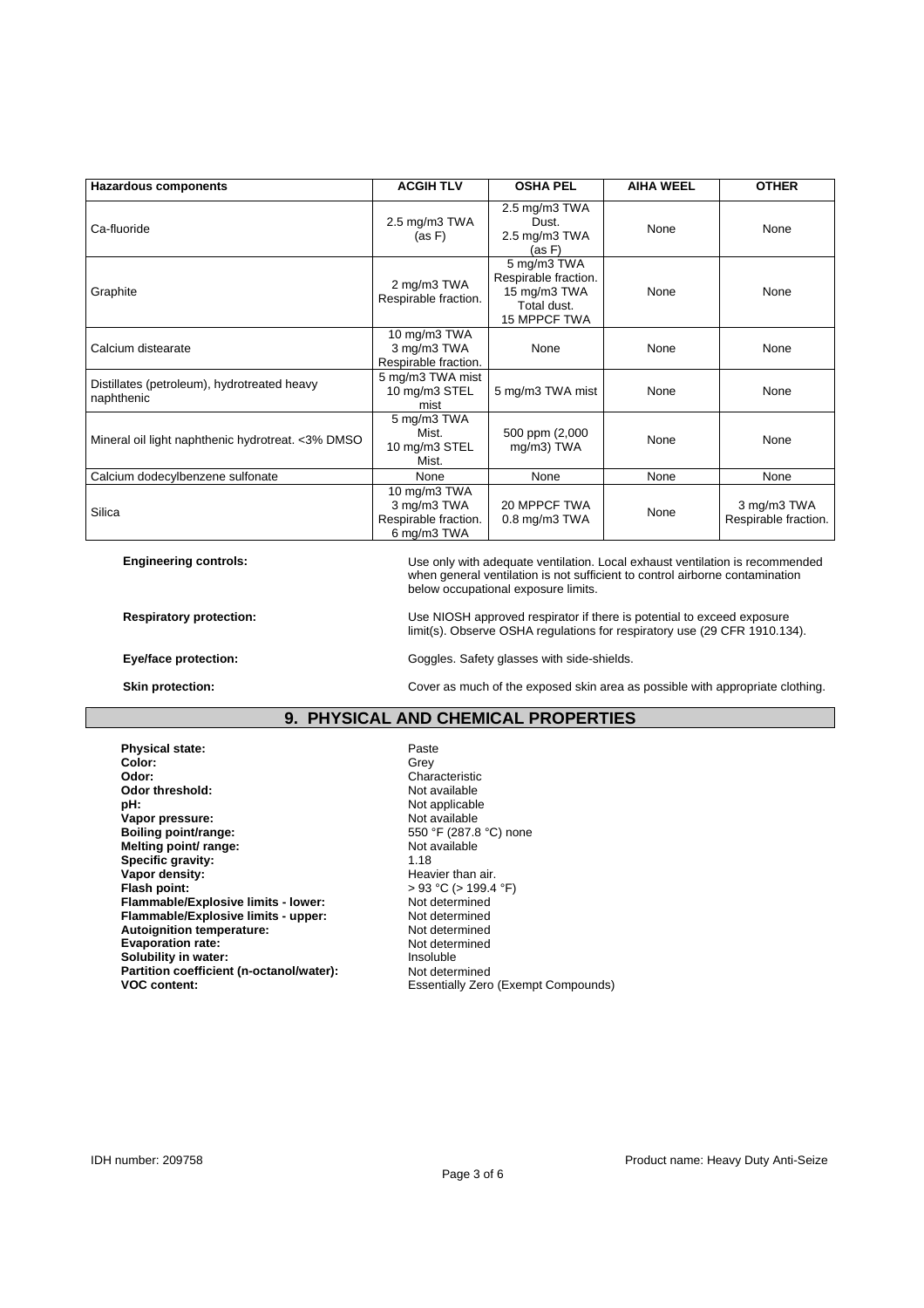| <b>Hazardous components</b>                               | <b>ACGIH TLV</b>                                                   | <b>OSHA PEL</b>                                                                    | <b>AIHA WEEL</b> | <b>OTHER</b>                        |
|-----------------------------------------------------------|--------------------------------------------------------------------|------------------------------------------------------------------------------------|------------------|-------------------------------------|
| Ca-fluoride                                               | $2.5 \text{ mg/m}3$ TWA<br>(as F)                                  | $2.5 \text{ mg/m}3$ TWA<br>Dust.<br>$2.5 \text{ mg/m}3$ TWA<br>(as F)              | None             | None                                |
| Graphite                                                  | 2 mg/m3 TWA<br>Respirable fraction.                                | 5 mg/m3 TWA<br>Respirable fraction.<br>15 mg/m3 TWA<br>Total dust.<br>15 MPPCF TWA | None             | None                                |
| Calcium distearate                                        | $10$ mg/m3 TWA<br>3 mg/m3 TWA<br>Respirable fraction.              | None                                                                               | None             | None                                |
| Distillates (petroleum), hydrotreated heavy<br>naphthenic | 5 mg/m3 TWA mist<br>10 mg/m3 STEL<br>mist                          | 5 mg/m3 TWA mist                                                                   | None             | None                                |
| Mineral oil light naphthenic hydrotreat. <3% DMSO         | 5 mg/m3 TWA<br>Mist.<br>10 mg/m3 STEL<br>Mist.                     | 500 ppm (2,000<br>mg/m3) TWA                                                       | None             | None                                |
| Calcium dodecylbenzene sulfonate                          | None                                                               | None                                                                               | None             | None                                |
| Silica                                                    | 10 mg/m3 TWA<br>3 mg/m3 TWA<br>Respirable fraction.<br>6 mg/m3 TWA | 20 MPPCF TWA<br>$0.8$ mg/m $3$ TWA                                                 | None             | 3 mg/m3 TWA<br>Respirable fraction. |

**Engineering controls:** Use only with adequate ventilation. Local exhaust ventilation is recommended when general ventilation is not sufficient to control airborne contamination below occupational exposure limits.

**Respiratory protection:** Use NIOSH approved respirator if there is potential to exceed exposure limit(s). Observe OSHA regulations for respiratory use (29 CFR 1910.134).

**Eye/face protection: Exercise 2008** Goggles. Safety glasses with side-shields.

**Skin protection: Cover as much of the exposed skin area as possible with appropriate clothing.** 

### **9. PHYSICAL AND CHEMICAL PROPERTIES**

**Physical state:** Paste Paste Paste Paste Color: Paste Paste Paste Paste Paste Paste Paste Paste Paste Paste Paste Paste Paste Paste Paste Paste Paste Paste Paste Paste Paste Paste Paste Paste Paste Paste Paste Paste Paste Color:<br>Odor: **Odor threshold: pH:** Not applicable **Vapor pressure:** Not available **Melting point/ range: Not available Not available Specific gravity:** 1.18 **Vapor density: Heavier than air. Heavier than air. Flash point:** > 93 °C (> 199.4 °F) **Flammable/Explosive limits - lower:** Not determined<br> **Flammable/Explosive limits - upper:** Not determined **Flammable/Explosive limits - upper:** Not determined<br> **Autoianition temperature:** Not determined Autoignition temperature:<br>
Evaporation rate:<br>
Not determined **Evaporation rate: Solubility in water:** Insoluble **Partition coefficient (n-octanol/water):** Not determined<br>VOC content: Essentially Zero

**Characteristic**<br>Not available 550 °F (287.8 °C) none<br>Not available **Essentially Zero (Exempt Compounds)**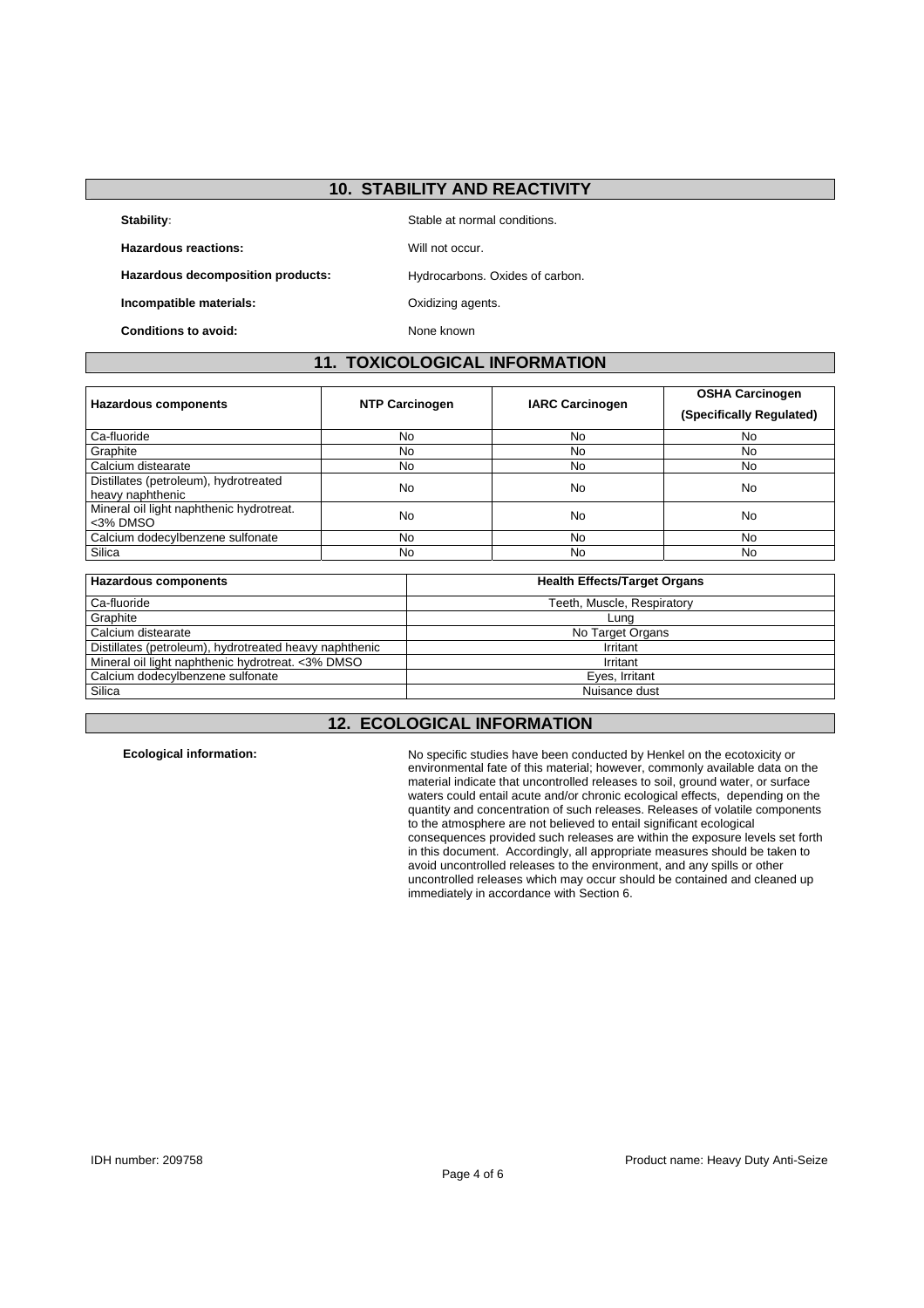### **10. STABILITY AND REACTIVITY**

**Stability:** Stable at normal conditions.

Hazardous reactions: **Will not occur.** Will not occur.

Hazardous decomposition products: Hydrocarbons. Oxides of carbon.

**Incompatible materials: Calcular COXIDI** Oxidizing agents.

**Conditions to avoid:** None known

### **11. TOXICOLOGICAL INFORMATION**

| <b>Hazardous components</b>                               | <b>NTP Carcinogen</b> | <b>IARC Carcinogen</b> | <b>OSHA Carcinogen</b><br>(Specifically Regulated) |
|-----------------------------------------------------------|-----------------------|------------------------|----------------------------------------------------|
| Ca-fluoride                                               | No                    | No                     | No                                                 |
| Graphite                                                  | No                    | No                     | No                                                 |
| Calcium distearate                                        | No.                   | No                     | No                                                 |
| Distillates (petroleum), hydrotreated<br>heavy naphthenic | No                    | No                     | No                                                 |
| Mineral oil light naphthenic hydrotreat.<br><3% DMSO      | No                    | No                     | No                                                 |
| Calcium dodecylbenzene sulfonate                          | No.                   | No                     | No                                                 |
| Silica                                                    | No                    | No                     | No                                                 |

| <b>Hazardous components</b>                            | <b>Health Effects/Target Organs</b> |
|--------------------------------------------------------|-------------------------------------|
| Ca-fluoride                                            | Teeth, Muscle, Respiratory          |
| Graphite                                               | Lung                                |
| Calcium distearate                                     | No Target Organs                    |
| Distillates (petroleum), hydrotreated heavy naphthenic | Irritant                            |
| Mineral oil light naphthenic hydrotreat. < 3% DMSO     | Irritant                            |
| Calcium dodecylbenzene sulfonate                       | Eyes, Irritant                      |
| Silica                                                 | Nuisance dust                       |

# **12. ECOLOGICAL INFORMATION**

**Ecological information:** No specific studies have been conducted by Henkel on the ecotoxicity or environmental fate of this material; however, commonly available data on the material indicate that uncontrolled releases to soil, ground water, or surface waters could entail acute and/or chronic ecological effects, depending on the quantity and concentration of such releases. Releases of volatile components to the atmosphere are not believed to entail significant ecological consequences provided such releases are within the exposure levels set forth in this document. Accordingly, all appropriate measures should be taken to avoid uncontrolled releases to the environment, and any spills or other uncontrolled releases which may occur should be contained and cleaned up immediately in accordance with Section 6.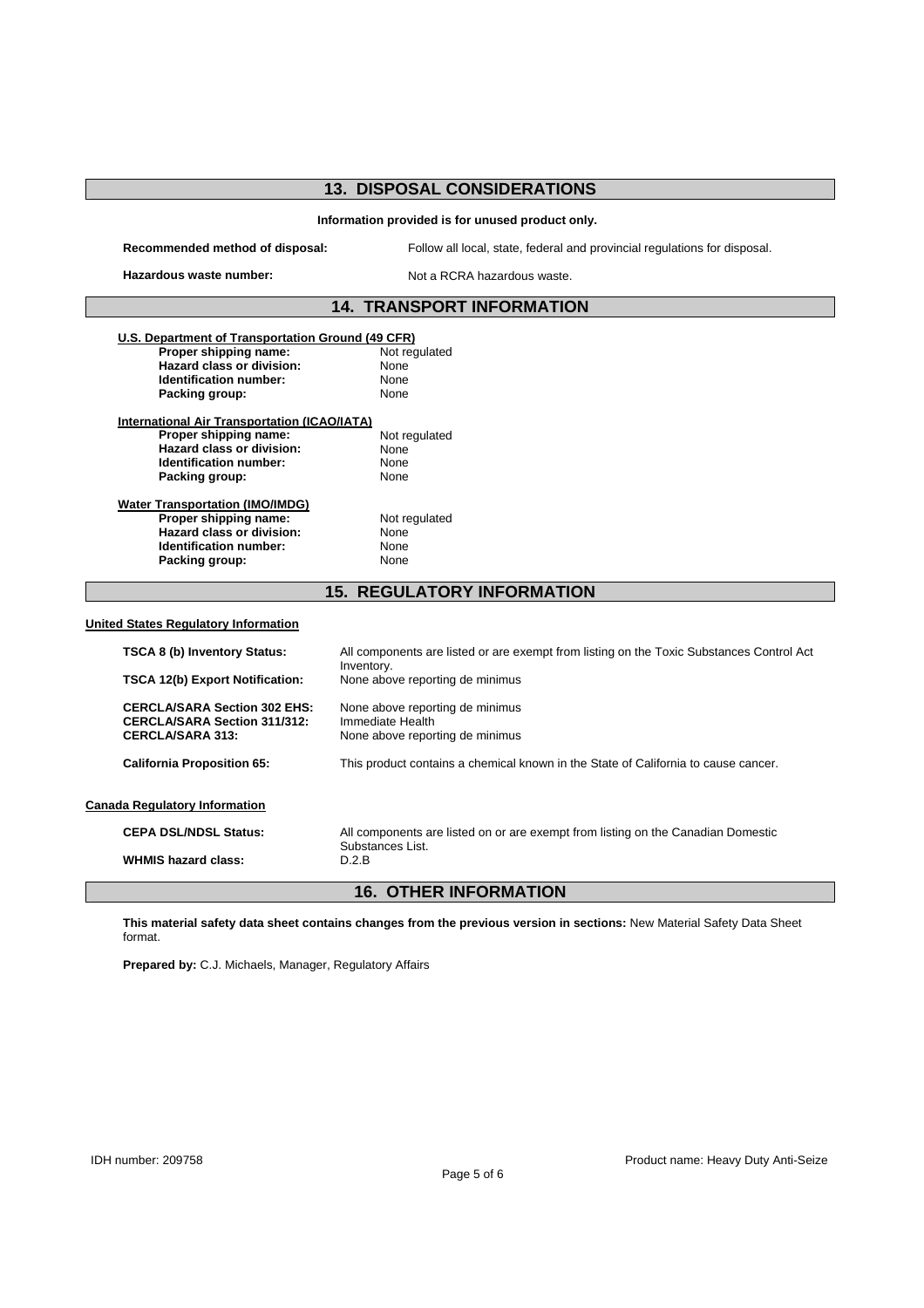# **13. DISPOSAL CONSIDERATIONS**

#### **Information provided is for unused product only.**

**Recommended method of disposal:** Follow all local, state, federal and provincial regulations for disposal.

Hazardous waste number: Not a RCRA hazardous waste.

# **14. TRANSPORT INFORMATION**

| U.S. Department of Transportation Ground (49 CFR) |                                                                                                      |
|---------------------------------------------------|------------------------------------------------------------------------------------------------------|
| Proper shipping name:                             | Not regulated                                                                                        |
| Hazard class or division:                         | None                                                                                                 |
| <b>Identification number:</b>                     | None                                                                                                 |
| Packing group:                                    | None                                                                                                 |
| International Air Transportation (ICAO/IATA)      |                                                                                                      |
| Proper shipping name:                             | Not regulated                                                                                        |
| <b>Hazard class or division:</b>                  | None                                                                                                 |
| Identification number:                            | None                                                                                                 |
| Packing group:                                    | None                                                                                                 |
| <b>Water Transportation (IMO/IMDG)</b>            |                                                                                                      |
| Proper shipping name:                             | Not regulated                                                                                        |
| Hazard class or division:                         | None                                                                                                 |
| Identification number:                            | None                                                                                                 |
|                                                   | None                                                                                                 |
| Packing group:                                    |                                                                                                      |
|                                                   | <b>15. REGULATORY INFORMATION</b>                                                                    |
| <b>United States Regulatory Information</b>       |                                                                                                      |
| <b>TSCA 8 (b) Inventory Status:</b>               | All components are listed or are exempt from listing on the Toxic Substances Control Act             |
| <b>TSCA 12(b) Export Notification:</b>            | Inventory.<br>None above reporting de minimus                                                        |
| <b>CERCLA/SARA Section 302 EHS:</b>               | None above reporting de minimus                                                                      |
| <b>CERCLA/SARA Section 311/312:</b>               | Immediate Health                                                                                     |
| <b>CERCLA/SARA 313:</b>                           | None above reporting de minimus                                                                      |
| <b>California Proposition 65:</b>                 | This product contains a chemical known in the State of California to cause cancer.                   |
| <b>Canada Regulatory Information</b>              |                                                                                                      |
| <b>CEPA DSL/NDSL Status:</b>                      | All components are listed on or are exempt from listing on the Canadian Domestic<br>Substances List. |

### **16. OTHER INFORMATION**

**This material safety data sheet contains changes from the previous version in sections:** New Material Safety Data Sheet format.

**Prepared by:** C.J. Michaels, Manager, Regulatory Affairs